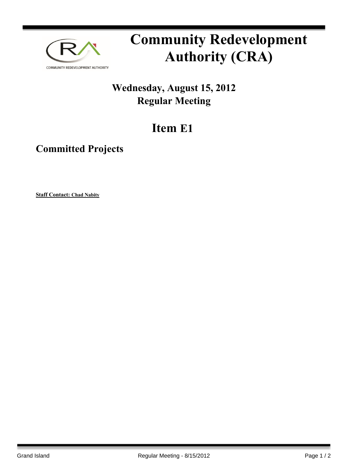

# **Community Redevelopment Authority (CRA)**

## **Wednesday, August 15, 2012 Regular Meeting**

## **Item E1**

## **Committed Projects**

**Staff Contact: Chad Nabity**